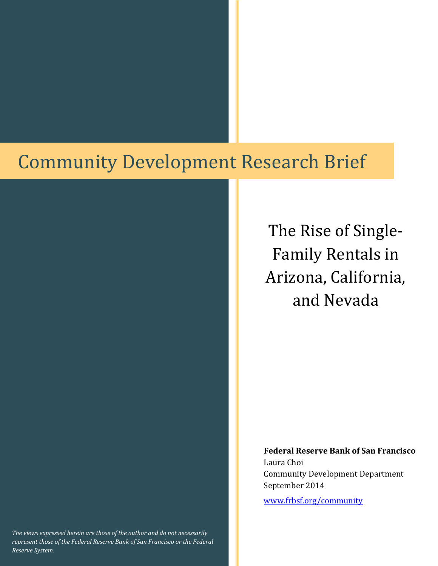# **Community Development Research Brief**

The Rise of Single-Family Rentals in Arizona, California, and Nevada 

**Federal Reserve Bank of San Francisco** Laura Choi Community Development Department September 2014

www.frbsf.org/community 

*The views expressed herein are those of the author and do not necessarily represent those of the Federal Reserve Bank of San Francisco or the Federal Reserve System.*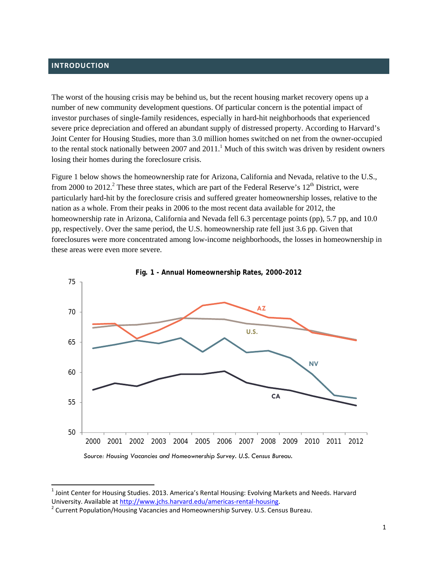## **INTRODUCTION**

The worst of the housing crisis may be behind us, but the recent housing market recovery opens up a number of new community development questions. Of particular concern is the potential impact of investor purchases of single-family residences, especially in hard-hit neighborhoods that experienced severe price depreciation and offered an abundant supply of distressed property. According to Harvard's Joint Center for Housing Studies, more than 3.0 million homes switched on net from the owner-occupied to the rental stock nationally between 2007 and  $2011<sup>1</sup>$  Much of this switch was driven by resident owners losing their homes during the foreclosure crisis.

Figure 1 below shows the homeownership rate for Arizona, California and Nevada, relative to the U.S., from 2000 to 2012.<sup>2</sup> These three states, which are part of the Federal Reserve's  $12<sup>th</sup>$  District, were particularly hard-hit by the foreclosure crisis and suffered greater homeownership losses, relative to the nation as a whole. From their peaks in 2006 to the most recent data available for 2012, the homeownership rate in Arizona, California and Nevada fell 6.3 percentage points (pp), 5.7 pp, and 10.0 pp, respectively. Over the same period, the U.S. homeownership rate fell just 3.6 pp. Given that foreclosures were more concentrated among low-income neighborhoods, the losses in homeownership in these areas were even more severe.





<sup>&</sup>lt;sup>1</sup> Joint Center for Housing Studies. 2013. America's Rental Housing: Evolving Markets and Needs. Harvard University. Available at http://www.jchs.harvard.edu/americas-rental-housing.

<sup>&</sup>lt;sup>2</sup> Current Population/Housing Vacancies and Homeownership Survey. U.S. Census Bureau.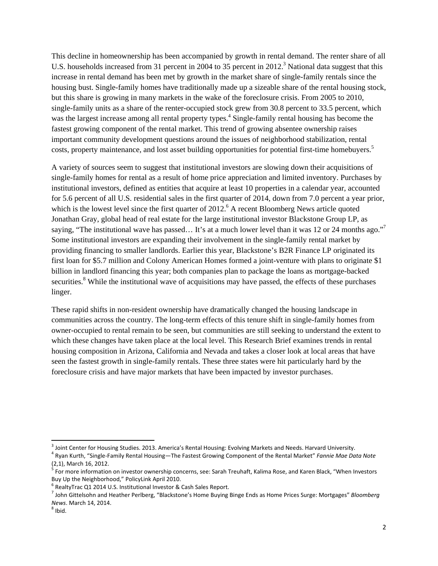This decline in homeownership has been accompanied by growth in rental demand. The renter share of all U.S. households increased from 31 percent in 2004 to 35 percent in 2012.<sup>3</sup> National data suggest that this increase in rental demand has been met by growth in the market share of single-family rentals since the housing bust. Single-family homes have traditionally made up a sizeable share of the rental housing stock, but this share is growing in many markets in the wake of the foreclosure crisis. From 2005 to 2010, single-family units as a share of the renter-occupied stock grew from 30.8 percent to 33.5 percent, which was the largest increase among all rental property types.<sup>4</sup> Single-family rental housing has become the fastest growing component of the rental market. This trend of growing absentee ownership raises important community development questions around the issues of neighborhood stabilization, rental costs, property maintenance, and lost asset building opportunities for potential first-time homebuyers.<sup>5</sup>

A variety of sources seem to suggest that institutional investors are slowing down their acquisitions of single-family homes for rental as a result of home price appreciation and limited inventory. Purchases by institutional investors, defined as entities that acquire at least 10 properties in a calendar year, accounted for 5.6 percent of all U.S. residential sales in the first quarter of 2014, down from 7.0 percent a year prior, which is the lowest level since the first quarter of  $2012$ .<sup>6</sup> A recent Bloomberg News article quoted Jonathan Gray, global head of real estate for the large institutional investor Blackstone Group LP, as saying, "The institutional wave has passed... It's at a much lower level than it was 12 or 24 months ago."<sup>7</sup> Some institutional investors are expanding their involvement in the single-family rental market by providing financing to smaller landlords. Earlier this year, Blackstone's B2R Finance LP originated its first loan for \$5.7 million and Colony American Homes formed a joint-venture with plans to originate \$1 billion in landlord financing this year; both companies plan to package the loans as mortgage-backed securities.<sup>8</sup> While the institutional wave of acquisitions may have passed, the effects of these purchases linger.

These rapid shifts in non-resident ownership have dramatically changed the housing landscape in communities across the country. The long-term effects of this tenure shift in single-family homes from owner-occupied to rental remain to be seen, but communities are still seeking to understand the extent to which these changes have taken place at the local level. This Research Brief examines trends in rental housing composition in Arizona, California and Nevada and takes a closer look at local areas that have seen the fastest growth in single-family rentals. These three states were hit particularly hard by the foreclosure crisis and have major markets that have been impacted by investor purchases.

<sup>&</sup>lt;sup>3</sup> Joint Center for Housing Studies. 2013. America's Rental Housing: Evolving Markets and Needs. Harvard University.<br><sup>4</sup> Ryan Kurth, "Single-Family Rental Housing—The Fastest Growing Component of the Rental Market" *Fann* 

<sup>(2,1),</sup> March 16, 2012.<br> $5$  For more information on investor ownership concerns, see: Sarah Treuhaft, Kalima Rose, and Karen Black, "When Investors<br>Buy Up the Neighborhood," PolicyLink April 2010.

<sup>&</sup>lt;sup>6</sup> RealtyTrac Q1 2014 U.S. Institutional Investor & Cash Sales Report.<br><sup>7</sup> John Gittelsohn and Heather Perlberg, "Blackstone's Home Buying Binge Ends as Home Prices Surge: Mortgages" Bloomberg *News*. March 14, 2014.<br><sup>8</sup> Ibid.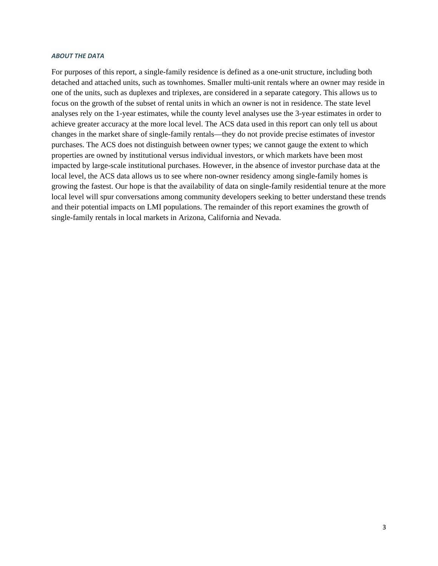#### *ABOUT THE DATA*

For purposes of this report, a single-family residence is defined as a one-unit structure, including both detached and attached units, such as townhomes. Smaller multi-unit rentals where an owner may reside in one of the units, such as duplexes and triplexes, are considered in a separate category. This allows us to focus on the growth of the subset of rental units in which an owner is not in residence. The state level analyses rely on the 1-year estimates, while the county level analyses use the 3-year estimates in order to achieve greater accuracy at the more local level. The ACS data used in this report can only tell us about changes in the market share of single-family rentals—they do not provide precise estimates of investor purchases. The ACS does not distinguish between owner types; we cannot gauge the extent to which properties are owned by institutional versus individual investors, or which markets have been most impacted by large-scale institutional purchases. However, in the absence of investor purchase data at the local level, the ACS data allows us to see where non-owner residency among single-family homes is growing the fastest. Our hope is that the availability of data on single-family residential tenure at the more local level will spur conversations among community developers seeking to better understand these trends and their potential impacts on LMI populations. The remainder of this report examines the growth of single-family rentals in local markets in Arizona, California and Nevada.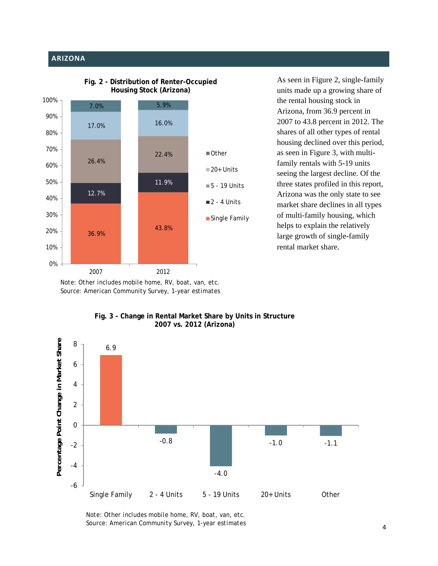## **ARIZONA**



**Fig. 2 - Distribution of Renter-Occupied Housing Stock (Arizona)**

As seen in Figure 2, single-family units made up a growing share of the rental housing stock in Arizona, from 36.9 percent in 2007 to 43.8 percent in 2012. The shares of all other types of rental housing declined over this period, as seen in Figure 3, with multifamily rentals with 5-19 units seeing the largest decline. Of the three states profiled in this report, Arizona was the only state to see market share declines in all types of multi-family housing, which helps to explain the relatively large growth of single-family rental market share.

*Note: Other includes mobile home, RV, boat, van, etc. Source: American Community Survey, 1-year estimates* 



## **Fig. 3 - Change in Rental Market Share by Units in Structure 2007 vs. 2012 (Arizona)**

*Note: Other includes mobile home, RV, boat, van, etc. Source: American Community Survey, 1-year estimates*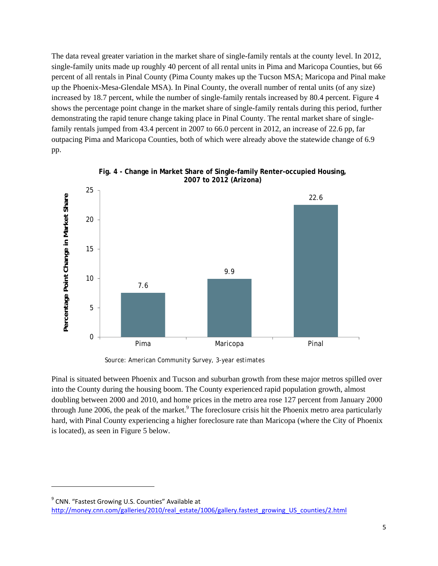The data reveal greater variation in the market share of single-family rentals at the county level. In 2012, single-family units made up roughly 40 percent of all rental units in Pima and Maricopa Counties, but 66 percent of all rentals in Pinal County (Pima County makes up the Tucson MSA; Maricopa and Pinal make up the Phoenix-Mesa-Glendale MSA). In Pinal County, the overall number of rental units (of any size) increased by 18.7 percent, while the number of single-family rentals increased by 80.4 percent. Figure 4 shows the percentage point change in the market share of single-family rentals during this period, further demonstrating the rapid tenure change taking place in Pinal County. The rental market share of singlefamily rentals jumped from 43.4 percent in 2007 to 66.0 percent in 2012, an increase of 22.6 pp, far outpacing Pima and Maricopa Counties, both of which were already above the statewide change of 6.9 pp.





*Source: American Community Survey, 3-year estimates* 

Pinal is situated between Phoenix and Tucson and suburban growth from these major metros spilled over into the County during the housing boom. The County experienced rapid population growth, almost doubling between 2000 and 2010, and home prices in the metro area rose 127 percent from January 2000 through June 2006, the peak of the market.<sup>9</sup> The foreclosure crisis hit the Phoenix metro area particularly hard, with Pinal County experiencing a higher foreclosure rate than Maricopa (where the City of Phoenix is located), as seen in Figure 5 below.

<sup>&</sup>lt;sup>9</sup> CNN. "Fastest Growing U.S. Counties" Available at http://money.cnn.com/galleries/2010/real\_estate/1006/gallery.fastest\_growing\_US\_counties/2.html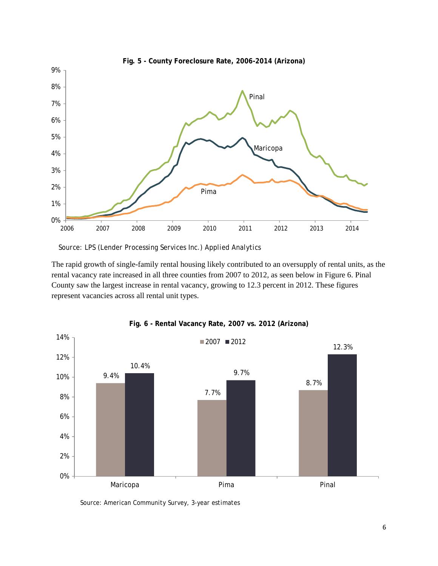

*Source: LPS (Lender Processing Services Inc.) Applied Analytics*

The rapid growth of single-family rental housing likely contributed to an oversupply of rental units, as the rental vacancy rate increased in all three counties from 2007 to 2012, as seen below in Figure 6. Pinal County saw the largest increase in rental vacancy, growing to 12.3 percent in 2012. These figures represent vacancies across all rental unit types.



**Fig. 6 - Rental Vacancy Rate, 2007 vs. 2012 (Arizona)**

*Source: American Community Survey, 3-year estimates*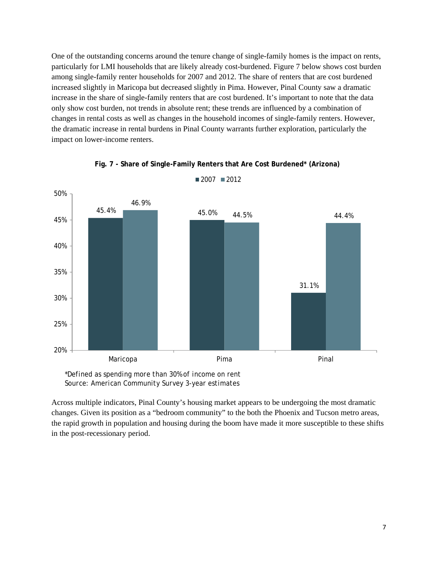One of the outstanding concerns around the tenure change of single-family homes is the impact on rents, particularly for LMI households that are likely already cost-burdened. Figure 7 below shows cost burden among single-family renter households for 2007 and 2012. The share of renters that are cost burdened increased slightly in Maricopa but decreased slightly in Pima. However, Pinal County saw a dramatic increase in the share of single-family renters that are cost burdened. It's important to note that the data only show cost burden, not trends in absolute rent; these trends are influenced by a combination of changes in rental costs as well as changes in the household incomes of single-family renters. However, the dramatic increase in rental burdens in Pinal County warrants further exploration, particularly the impact on lower-income renters.



**Fig. 7 - Share of Single-Family Renters that Are Cost Burdened\* (Arizona)**

*\*Defined as spending more than 30% of income on rent Source: American Community Survey 3-year estimates*

Across multiple indicators, Pinal County's housing market appears to be undergoing the most dramatic changes. Given its position as a "bedroom community" to the both the Phoenix and Tucson metro areas, the rapid growth in population and housing during the boom have made it more susceptible to these shifts in the post-recessionary period.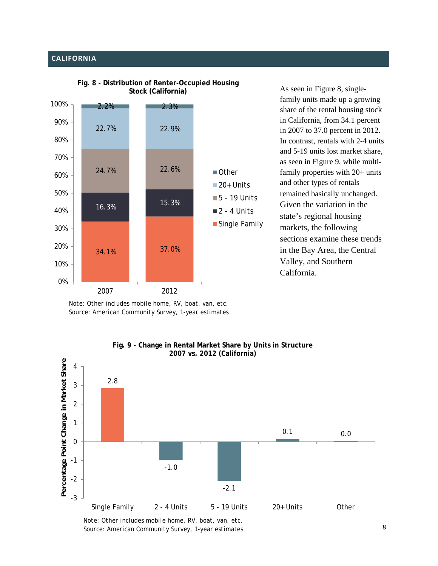# **CALIFORNIA**



**Fig. 8 - Distribution of Renter-Occupied Housing Stock (California)**

As seen in Figure 8, singlefamily units made up a growing share of the rental housing stock in California, from 34.1 percent in 2007 to 37.0 percent in 2012. In contrast, rentals with 2-4 units and 5-19 units lost market share, as seen in Figure 9, while multifamily properties with 20+ units and other types of rentals remained basically unchanged. Given the variation in the state's regional housing markets, the following sections examine these trends in the Bay Area, the Central Valley, and Southern California.

*Note: Other includes mobile home, RV, boat, van, etc. Source: American Community Survey, 1-year estimates* 



**Fig. 9 - Change in Rental Market Share by Units in Structure**

*Note: Other includes mobile home, RV, boat, van, etc. Source: American Community Survey, 1-year estimates*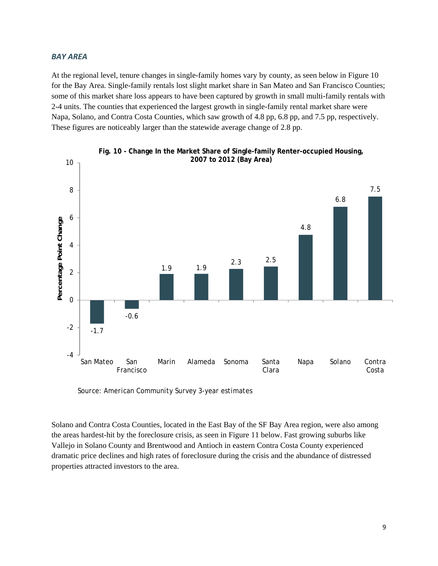#### *BAY AREA*

At the regional level, tenure changes in single-family homes vary by county, as seen below in Figure 10 for the Bay Area. Single-family rentals lost slight market share in San Mateo and San Francisco Counties; some of this market share loss appears to have been captured by growth in small multi-family rentals with 2-4 units. The counties that experienced the largest growth in single-family rental market share were Napa, Solano, and Contra Costa Counties, which saw growth of 4.8 pp, 6.8 pp, and 7.5 pp, respectively. These figures are noticeably larger than the statewide average change of 2.8 pp.





*Source: American Community Survey 3-year estimates*

Solano and Contra Costa Counties, located in the East Bay of the SF Bay Area region, were also among the areas hardest-hit by the foreclosure crisis, as seen in Figure 11 below. Fast growing suburbs like Vallejo in Solano County and Brentwood and Antioch in eastern Contra Costa County experienced dramatic price declines and high rates of foreclosure during the crisis and the abundance of distressed properties attracted investors to the area.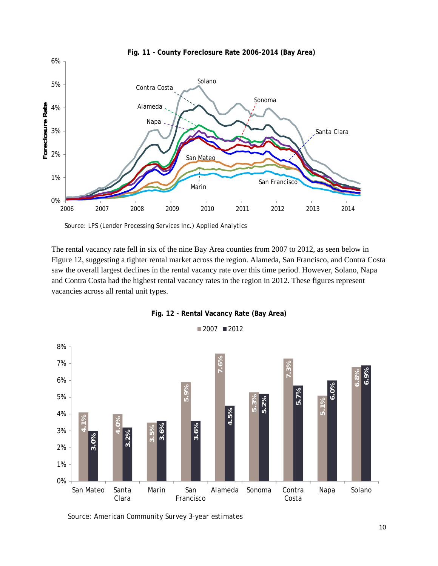

*Source: LPS (Lender Processing Services Inc.) Applied Analytics*

The rental vacancy rate fell in six of the nine Bay Area counties from 2007 to 2012, as seen below in Figure 12, suggesting a tighter rental market across the region. Alameda, San Francisco, and Contra Costa saw the overall largest declines in the rental vacancy rate over this time period. However, Solano, Napa and Contra Costa had the highest rental vacancy rates in the region in 2012. These figures represent vacancies across all rental unit types.



**Fig. 12 - Rental Vacancy Rate (Bay Area)**

*Source: American Community Survey 3-year estimates*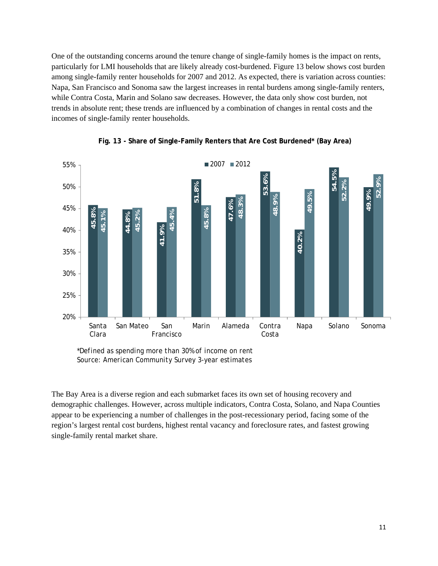One of the outstanding concerns around the tenure change of single-family homes is the impact on rents, particularly for LMI households that are likely already cost-burdened. Figure 13 below shows cost burden among single-family renter households for 2007 and 2012. As expected, there is variation across counties: Napa, San Francisco and Sonoma saw the largest increases in rental burdens among single-family renters, while Contra Costa, Marin and Solano saw decreases. However, the data only show cost burden, not trends in absolute rent; these trends are influenced by a combination of changes in rental costs and the incomes of single-family renter households.



**Fig. 13 - Share of Single-Family Renters that Are Cost Burdened\* (Bay Area)**

*\*Defined as spending more than 30% of income on rent Source: American Community Survey 3-year estimates*

The Bay Area is a diverse region and each submarket faces its own set of housing recovery and demographic challenges. However, across multiple indicators, Contra Costa, Solano, and Napa Counties appear to be experiencing a number of challenges in the post-recessionary period, facing some of the region's largest rental cost burdens, highest rental vacancy and foreclosure rates, and fastest growing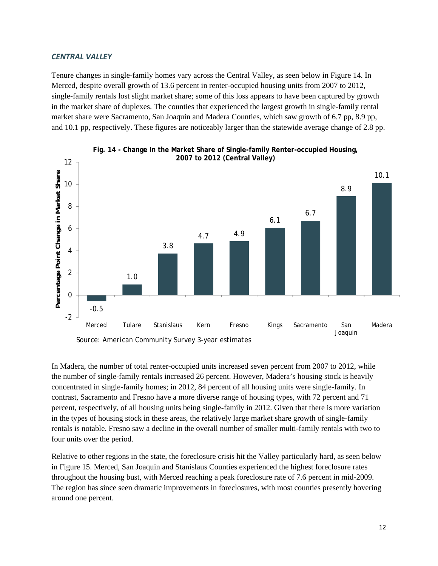### *CENTRAL VALLEY*

Tenure changes in single-family homes vary across the Central Valley, as seen below in Figure 14. In Merced, despite overall growth of 13.6 percent in renter-occupied housing units from 2007 to 2012, single-family rentals lost slight market share; some of this loss appears to have been captured by growth in the market share of duplexes. The counties that experienced the largest growth in single-family rental market share were Sacramento, San Joaquin and Madera Counties, which saw growth of 6.7 pp, 8.9 pp, and 10.1 pp, respectively. These figures are noticeably larger than the statewide average change of 2.8 pp.





In Madera, the number of total renter-occupied units increased seven percent from 2007 to 2012, while the number of single-family rentals increased 26 percent. However, Madera's housing stock is heavily concentrated in single-family homes; in 2012, 84 percent of all housing units were single-family. In contrast, Sacramento and Fresno have a more diverse range of housing types, with 72 percent and 71 percent, respectively, of all housing units being single-family in 2012. Given that there is more variation in the types of housing stock in these areas, the relatively large market share growth of single-family rentals is notable. Fresno saw a decline in the overall number of smaller multi-family rentals with two to four units over the period.

Relative to other regions in the state, the foreclosure crisis hit the Valley particularly hard, as seen below in Figure 15. Merced, San Joaquin and Stanislaus Counties experienced the highest foreclosure rates throughout the housing bust, with Merced reaching a peak foreclosure rate of 7.6 percent in mid-2009. The region has since seen dramatic improvements in foreclosures, with most counties presently hovering around one percent.

*Source: American Community Survey 3-year estimates*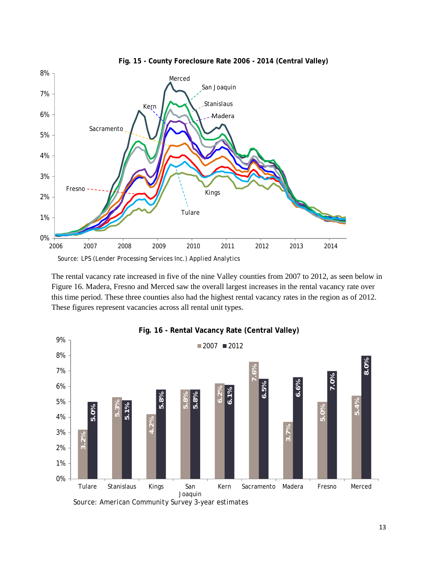

**Fig. 15 - County Foreclosure Rate 2006 - 2014 (Central Valley)**

The rental vacancy rate increased in five of the nine Valley counties from 2007 to 2012, as seen below in Figure 16. Madera, Fresno and Merced saw the overall largest increases in the rental vacancy rate over this time period. These three counties also had the highest rental vacancy rates in the region as of 2012. These figures represent vacancies across all rental unit types.



*Source: American Community Survey 3-year estimates*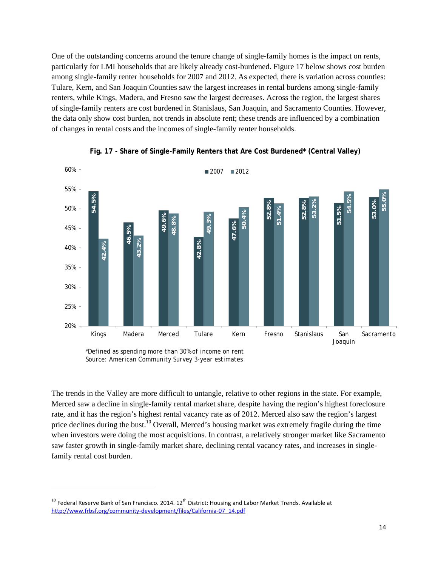One of the outstanding concerns around the tenure change of single-family homes is the impact on rents, particularly for LMI households that are likely already cost-burdened. Figure 17 below shows cost burden among single-family renter households for 2007 and 2012. As expected, there is variation across counties: Tulare, Kern, and San Joaquin Counties saw the largest increases in rental burdens among single-family renters, while Kings, Madera, and Fresno saw the largest decreases. Across the region, the largest shares of single-family renters are cost burdened in Stanislaus, San Joaquin, and Sacramento Counties. However, the data only show cost burden, not trends in absolute rent; these trends are influenced by a combination of changes in rental costs and the incomes of single-family renter households.



**Fig. 17 - Share of Single-Family Renters that Are Cost Burdened\* (Central Valley)**

*\*Defined as spending more than 30% of income on rent Source: American Community Survey 3-year estimates* 

The trends in the Valley are more difficult to untangle, relative to other regions in the state. For example, Merced saw a decline in single-family rental market share, despite having the region's highest foreclosure rate, and it has the region's highest rental vacancy rate as of 2012. Merced also saw the region's largest price declines during the bust.<sup>10</sup> Overall, Merced's housing market was extremely fragile during the time when investors were doing the most acquisitions. In contrast, a relatively stronger market like Sacramento saw faster growth in single-family market share, declining rental vacancy rates, and increases in singlefamily rental cost burden.

<sup>&</sup>lt;sup>10</sup> Federal Reserve Bank of San Francisco. 2014.  $12^{th}$  District: Housing and Labor Market Trends. Available at http://www.frbsf.org/community-development/files/California-07 14.pdf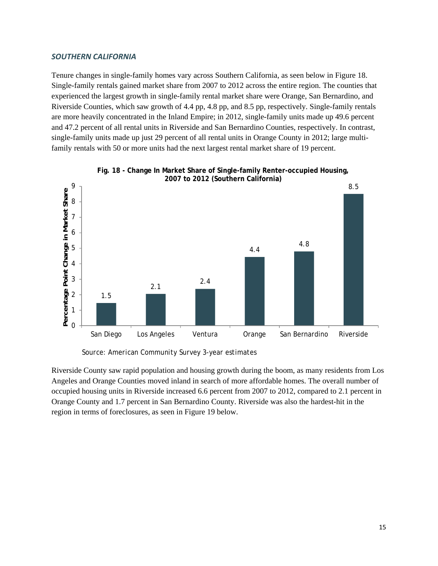### *SOUTHERN CALIFORNIA*

Tenure changes in single-family homes vary across Southern California, as seen below in Figure 18. Single-family rentals gained market share from 2007 to 2012 across the entire region. The counties that experienced the largest growth in single-family rental market share were Orange, San Bernardino, and Riverside Counties, which saw growth of 4.4 pp, 4.8 pp, and 8.5 pp, respectively. Single-family rentals are more heavily concentrated in the Inland Empire; in 2012, single-family units made up 49.6 percent and 47.2 percent of all rental units in Riverside and San Bernardino Counties, respectively. In contrast, single-family units made up just 29 percent of all rental units in Orange County in 2012; large multifamily rentals with 50 or more units had the next largest rental market share of 19 percent.





*Source: American Community Survey 3-year estimates*

Riverside County saw rapid population and housing growth during the boom, as many residents from Los Angeles and Orange Counties moved inland in search of more affordable homes. The overall number of occupied housing units in Riverside increased 6.6 percent from 2007 to 2012, compared to 2.1 percent in Orange County and 1.7 percent in San Bernardino County. Riverside was also the hardest-hit in the region in terms of foreclosures, as seen in Figure 19 below.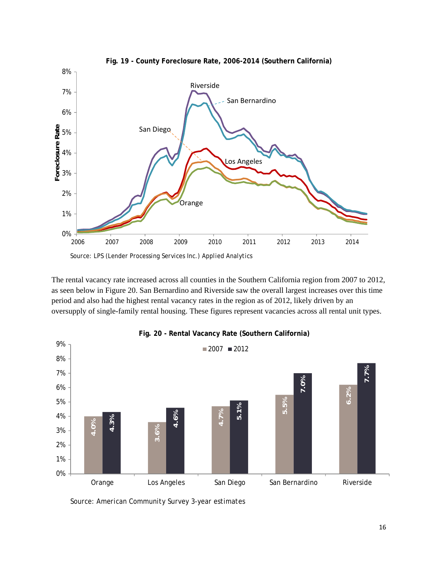

The rental vacancy rate increased across all counties in the Southern California region from 2007 to 2012, as seen below in Figure 20. San Bernardino and Riverside saw the overall largest increases over this time period and also had the highest rental vacancy rates in the region as of 2012, likely driven by an oversupply of single-family rental housing. These figures represent vacancies across all rental unit types.



## **Fig. 20 - Rental Vacancy Rate (Southern California)**

*Source: American Community Survey 3-year estimates*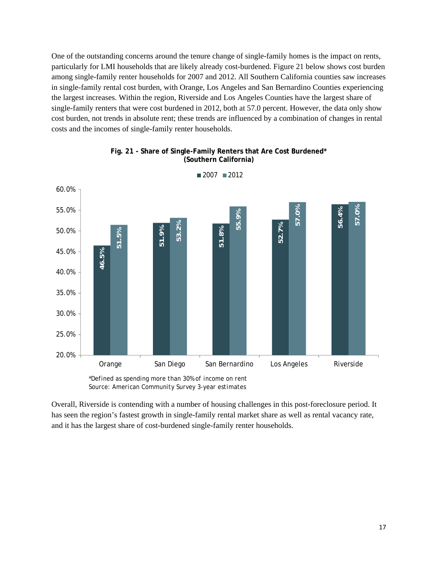One of the outstanding concerns around the tenure change of single-family homes is the impact on rents, particularly for LMI households that are likely already cost-burdened. Figure 21 below shows cost burden among single-family renter households for 2007 and 2012. All Southern California counties saw increases in single-family rental cost burden, with Orange, Los Angeles and San Bernardino Counties experiencing the largest increases. Within the region, Riverside and Los Angeles Counties have the largest share of single-family renters that were cost burdened in 2012, both at 57.0 percent. However, the data only show cost burden, not trends in absolute rent; these trends are influenced by a combination of changes in rental costs and the incomes of single-family renter households.



**Fig. 21 - Share of Single-Family Renters that Are Cost Burdened\* (Southern California)**

 $2007$  2012

Overall, Riverside is contending with a number of housing challenges in this post-foreclosure period. It has seen the region's fastest growth in single-family rental market share as well as rental vacancy rate,

*<sup>\*</sup>Defined as spending more than 30% of income on rent Source: American Community Survey 3-year estimates*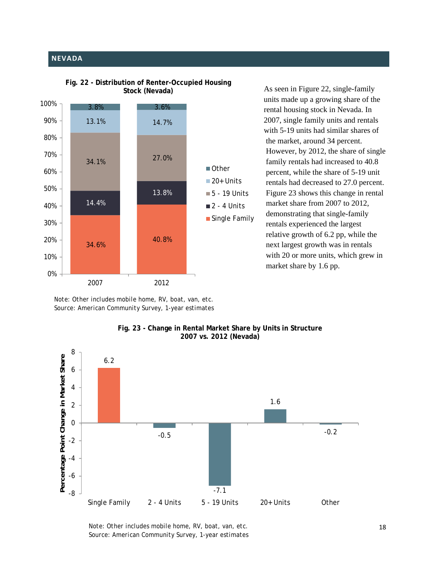# **NEVADA**





As seen in Figure 22, single-family units made up a growing share of the rental housing stock in Nevada. In 2007, single family units and rentals with 5-19 units had similar shares of the market, around 34 percent. However, by 2012, the share of single family rentals had increased to 40.8 percent, while the share of 5-19 unit rentals had decreased to 27.0 percent. Figure 23 shows this change in rental market share from 2007 to 2012, demonstrating that single-family rentals experienced the largest relative growth of 6.2 pp, while the next largest growth was in rentals with 20 or more units, which grew in market share by 1.6 pp.

*Note: Other includes mobile home, RV, boat, van, etc. Source: American Community Survey, 1-year estimates* 



#### **Fig. 23 - Change in Rental Market Share by Units in Structure 2007 vs. 2012 (Nevada)**

*Note: Other includes mobile home, RV, boat, van, etc. Source: American Community Survey, 1-year estimates*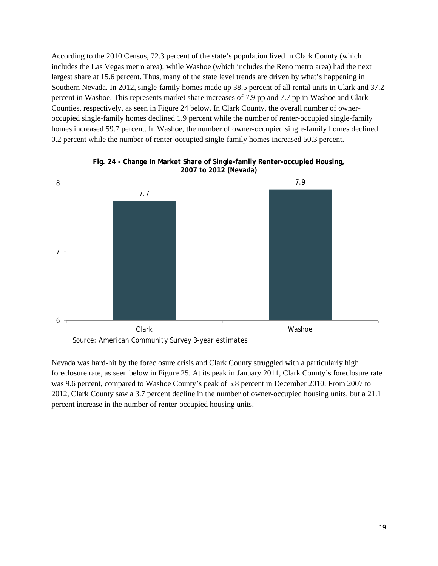According to the 2010 Census, 72.3 percent of the state's population lived in Clark County (which includes the Las Vegas metro area), while Washoe (which includes the Reno metro area) had the next largest share at 15.6 percent. Thus, many of the state level trends are driven by what's happening in Southern Nevada. In 2012, single-family homes made up 38.5 percent of all rental units in Clark and 37.2 percent in Washoe. This represents market share increases of 7.9 pp and 7.7 pp in Washoe and Clark Counties, respectively, as seen in Figure 24 below. In Clark County, the overall number of owneroccupied single-family homes declined 1.9 percent while the number of renter-occupied single-family homes increased 59.7 percent. In Washoe, the number of owner-occupied single-family homes declined 0.2 percent while the number of renter-occupied single-family homes increased 50.3 percent.



**Fig. 24 - Change In Market Share of Single-family Renter-occupied Housing, 2007 to 2012 (Nevada)** 

*Source: American Community Survey 3-year estimates*

Nevada was hard-hit by the foreclosure crisis and Clark County struggled with a particularly high foreclosure rate, as seen below in Figure 25. At its peak in January 2011, Clark County's foreclosure rate was 9.6 percent, compared to Washoe County's peak of 5.8 percent in December 2010. From 2007 to 2012, Clark County saw a 3.7 percent decline in the number of owner-occupied housing units, but a 21.1 percent increase in the number of renter-occupied housing units.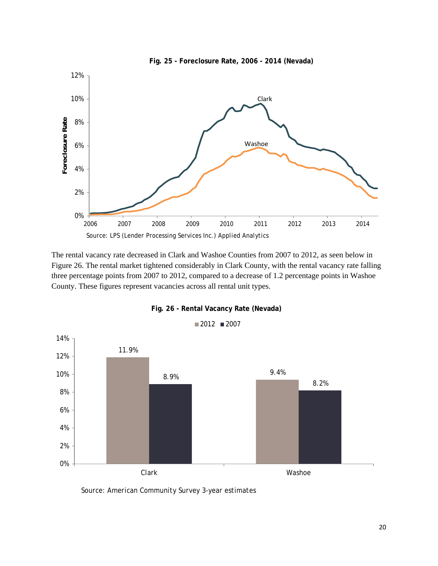

The rental vacancy rate decreased in Clark and Washoe Counties from 2007 to 2012, as seen below in Figure 26. The rental market tightened considerably in Clark County, with the rental vacancy rate falling three percentage points from 2007 to 2012, compared to a decrease of 1.2 percentage points in Washoe County. These figures represent vacancies across all rental unit types.



**Fig. 26 - Rental Vacancy Rate (Nevada)**

*Source: American Community Survey 3-year estimates*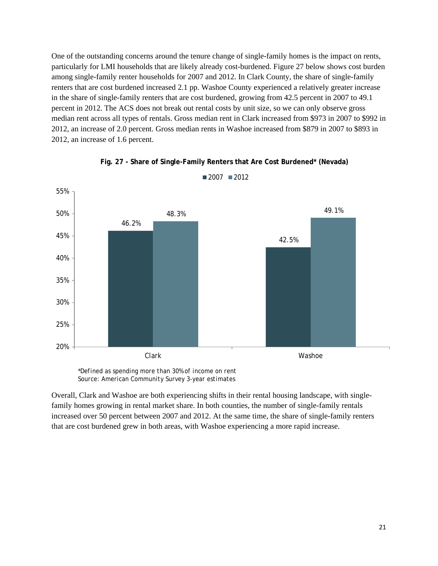One of the outstanding concerns around the tenure change of single-family homes is the impact on rents, particularly for LMI households that are likely already cost-burdened. Figure 27 below shows cost burden among single-family renter households for 2007 and 2012. In Clark County, the share of single-family renters that are cost burdened increased 2.1 pp. Washoe County experienced a relatively greater increase in the share of single-family renters that are cost burdened, growing from 42.5 percent in 2007 to 49.1 percent in 2012. The ACS does not break out rental costs by unit size, so we can only observe gross median rent across all types of rentals. Gross median rent in Clark increased from \$973 in 2007 to \$992 in 2012, an increase of 2.0 percent. Gross median rents in Washoe increased from \$879 in 2007 to \$893 in 2012, an increase of 1.6 percent.



**Fig. 27 - Share of Single-Family Renters that Are Cost Burdened\* (Nevada)**

 $2007$  2012

*\*Defined as spending more than 30% of income on rent Source: American Community Survey 3-year estimates* 

Overall, Clark and Washoe are both experiencing shifts in their rental housing landscape, with singlefamily homes growing in rental market share. In both counties, the number of single-family rentals increased over 50 percent between 2007 and 2012. At the same time, the share of single-family renters that are cost burdened grew in both areas, with Washoe experiencing a more rapid increase.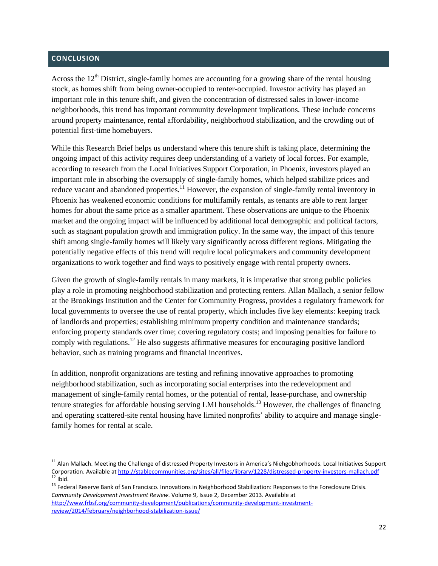## **CONCLUSION**

Across the  $12<sup>th</sup>$  District, single-family homes are accounting for a growing share of the rental housing stock, as homes shift from being owner-occupied to renter-occupied. Investor activity has played an important role in this tenure shift, and given the concentration of distressed sales in lower-income neighborhoods, this trend has important community development implications. These include concerns around property maintenance, rental affordability, neighborhood stabilization, and the crowding out of potential first-time homebuyers.

While this Research Brief helps us understand where this tenure shift is taking place, determining the ongoing impact of this activity requires deep understanding of a variety of local forces. For example, according to research from the Local Initiatives Support Corporation, in Phoenix, investors played an important role in absorbing the oversupply of single-family homes, which helped stabilize prices and reduce vacant and abandoned properties.<sup>11</sup> However, the expansion of single-family rental inventory in Phoenix has weakened economic conditions for multifamily rentals, as tenants are able to rent larger homes for about the same price as a smaller apartment. These observations are unique to the Phoenix market and the ongoing impact will be influenced by additional local demographic and political factors, such as stagnant population growth and immigration policy. In the same way, the impact of this tenure shift among single-family homes will likely vary significantly across different regions. Mitigating the potentially negative effects of this trend will require local policymakers and community development organizations to work together and find ways to positively engage with rental property owners.

Given the growth of single-family rentals in many markets, it is imperative that strong public policies play a role in promoting neighborhood stabilization and protecting renters. Allan Mallach, a senior fellow at the Brookings Institution and the Center for Community Progress, provides a regulatory framework for local governments to oversee the use of rental property, which includes five key elements: keeping track of landlords and properties; establishing minimum property condition and maintenance standards; enforcing property standards over time; covering regulatory costs; and imposing penalties for failure to comply with regulations.<sup>12</sup> He also suggests affirmative measures for encouraging positive landlord behavior, such as training programs and financial incentives.

In addition, nonprofit organizations are testing and refining innovative approaches to promoting neighborhood stabilization, such as incorporating social enterprises into the redevelopment and management of single-family rental homes, or the potential of rental, lease-purchase, and ownership tenure strategies for affordable housing serving LMI households.13 However, the challenges of financing and operating scattered-site rental housing have limited nonprofits' ability to acquire and manage singlefamily homes for rental at scale.

*Community Development Investment Review*. Volume 9, Issue 2, December 2013. Available at http://www.frbsf.org/community-development/publications/community-development-investmentreview/2014/february/neighborhood‐stabilization‐issue/

 $11$  Alan Mallach. Meeting the Challenge of distressed Property Investors in America's Niehgobhorhoods. Local Initiatives Support Corporation. Available at http://stablecommunities.org/sites/all/files/library/1228/distressed-property-investors-mallach.pdf<br>12 Ibid.<br>13 Federal Reserve Bank of San Francisco. Innovations in Neighborhood Stabilization: Re